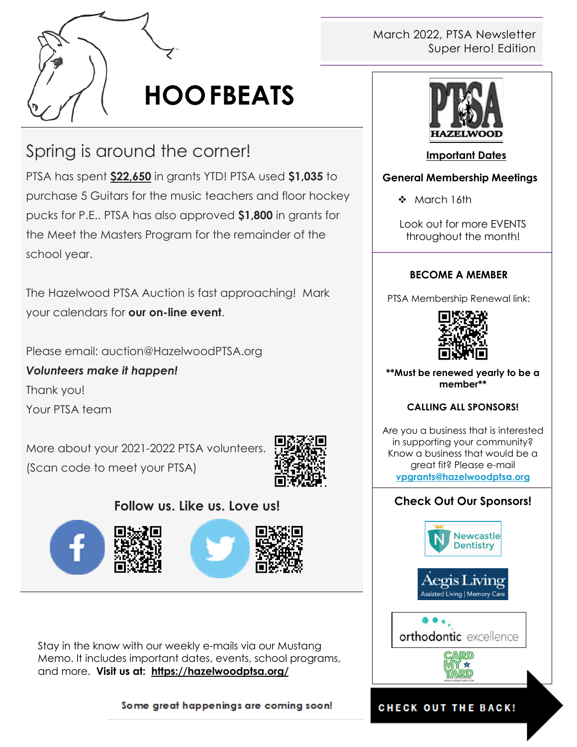

# **HOOFBEATS**

# Spring is around the corner!

PTSA has spent **\$22,650** in grants YTD! PTSA used **\$1,035** to purchase 5 Guitars for the music teachers and floor hockey pucks for P.E.. PTSA has also approved **\$1,800** in grants for the Meet the Masters Program for the remainder of the school year.

The Hazelwood PTSA Auction is fast approaching! Mark your calendars for **our on-line event**.

Please email: auction@HazelwoodPTSA.org

*Volunteers make it happen!* Thank you! Your PTSA team

More about your 2021-2022 PTSA volunteers. (Scan code to meet your PTSA)



# **Follow us. Like us. Love us!**







Stay in the know with our weekly e-mails via our Mustang Memo. It includes important dates, events, school programs, and more. **Visit us at: <https://hazelwoodptsa.org/>**

Some great happenings are coming soon!

#### March 2022, PTSA Newsletter Super Hero! Edition



#### **Important Dates**

#### **General Membership Meetings**

❖ March 16th

Look out for more EVENTS throughout the month!

#### **BECOME A MEMBER**

PTSA Membership Renewal link:



**\*\*Must be renewed yearly to be a member\*\***

#### **CALLING ALL SPONSORS!**

Are you a business that is interested in supporting your community? Know a business that would be a great fit? Please e-mail **[vpgrants@hazelwoodptsa.org](mailto:vpgrants@hazelwoodptsa.org)**

## **Check Out Our Sponsors!**